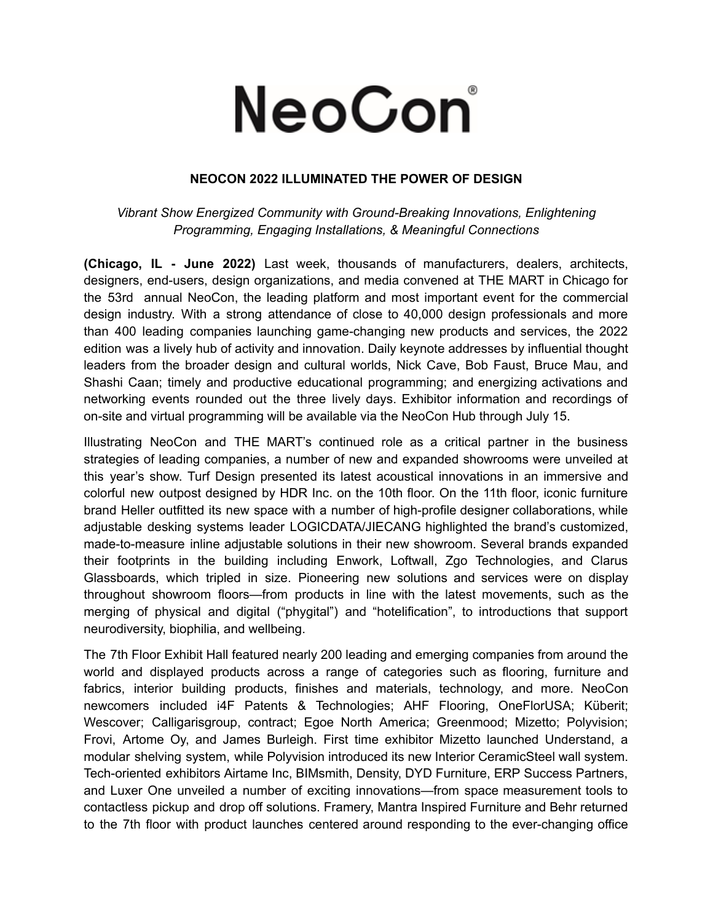## NeoCon

## **NEOCON 2022 ILLUMINATED THE POWER OF DESIGN**

*Vibrant Show Energized Community with Ground-Breaking Innovations, Enlightening Programming, Engaging Installations, & Meaningful Connections*

**(Chicago, IL - June 2022)** Last week, thousands of manufacturers, dealers, architects, designers, end-users, design organizations, and media convened at THE MART in Chicago for the 53rd annual NeoCon, the leading platform and most important event for the commercial design industry. With a strong attendance of close to 40,000 design professionals and more than 400 leading companies launching game-changing new products and services, the 2022 edition was a lively hub of activity and innovation. Daily keynote addresses by influential thought leaders from the broader design and cultural worlds, Nick Cave, Bob Faust, Bruce Mau, and Shashi Caan; timely and productive educational programming; and energizing activations and networking events rounded out the three lively days. Exhibitor information and recordings of on-site and virtual programming will be available via the NeoCon Hub through July 15.

Illustrating NeoCon and THE MART's continued role as a critical partner in the business strategies of leading companies, a number of new and expanded showrooms were unveiled at this year's show. Turf Design presented its latest acoustical innovations in an immersive and colorful new outpost designed by HDR Inc. on the 10th floor. On the 11th floor, iconic furniture brand Heller outfitted its new space with a number of high-profile designer collaborations, while adjustable desking systems leader LOGICDATA/JIECANG highlighted the brand's customized, made-to-measure inline adjustable solutions in their new showroom. Several brands expanded their footprints in the building including Enwork, Loftwall, Zgo Technologies, and Clarus Glassboards, which tripled in size. Pioneering new solutions and services were on display throughout showroom floors—from products in line with the latest movements, such as the merging of physical and digital ("phygital") and "hotelification", to introductions that support neurodiversity, biophilia, and wellbeing.

The 7th Floor Exhibit Hall featured nearly 200 leading and emerging companies from around the world and displayed products across a range of categories such as flooring, furniture and fabrics, interior building products, finishes and materials, technology, and more. NeoCon newcomers included i4F Patents & Technologies; AHF Flooring, OneFlorUSA; Küberit; Wescover; Calligarisgroup, contract; Egoe North America; Greenmood; Mizetto; Polyvision; Frovi, Artome Oy, and James Burleigh. First time exhibitor Mizetto launched Understand, a modular shelving system, while Polyvision introduced its new Interior CeramicSteel wall system. Tech-oriented exhibitors Airtame Inc, BIMsmith, Density, DYD Furniture, ERP Success Partners, and Luxer One unveiled a number of exciting innovations—from space measurement tools to contactless pickup and drop off solutions. Framery, Mantra Inspired Furniture and Behr returned to the 7th floor with product launches centered around responding to the ever-changing office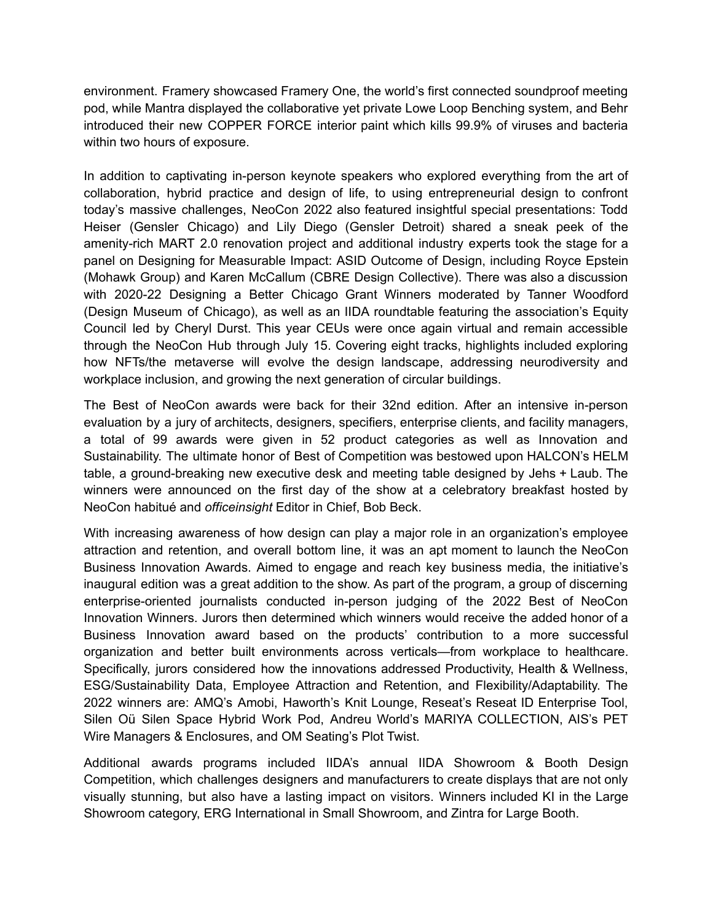environment. Framery showcased Framery One, the world's first connected soundproof meeting pod, while Mantra displayed the collaborative yet private Lowe Loop Benching system, and Behr introduced their new COPPER FORCE interior paint which kills 99.9% of viruses and bacteria within two hours of exposure.

In addition to captivating in-person keynote speakers who explored everything from the art of collaboration, hybrid practice and design of life, to using entrepreneurial design to confront today's massive challenges, NeoCon 2022 also featured insightful special presentations: Todd Heiser (Gensler Chicago) and Lily Diego (Gensler Detroit) shared a sneak peek of the amenity-rich MART 2.0 renovation project and additional industry experts took the stage for a panel on Designing for Measurable Impact: ASID Outcome of Design, including Royce Epstein (Mohawk Group) and Karen McCallum (CBRE Design Collective). There was also a discussion with 2020-22 Designing a Better Chicago Grant Winners moderated by Tanner Woodford (Design Museum of Chicago), as well as an IIDA roundtable featuring the association's Equity Council led by Cheryl Durst. This year CEUs were once again virtual and remain accessible through the NeoCon Hub through July 15. Covering eight tracks, highlights included exploring how NFTs/the metaverse will evolve the design landscape, addressing neurodiversity and workplace inclusion, and growing the next generation of circular buildings.

The Best of NeoCon awards were back for their 32nd edition. After an intensive in-person evaluation by a jury of architects, designers, specifiers, enterprise clients, and facility managers, a total of 99 awards were given in 52 product categories as well as Innovation and Sustainability. The ultimate honor of Best of Competition was bestowed upon HALCON's HELM table, a ground-breaking new executive desk and meeting table designed by Jehs + Laub. The winners were announced on the first day of the show at a celebratory breakfast hosted by NeoCon habitué and *officeinsight* Editor in Chief, Bob Beck.

With increasing awareness of how design can play a major role in an organization's employee attraction and retention, and overall bottom line, it was an apt moment to launch the NeoCon Business Innovation Awards. Aimed to engage and reach key business media, the initiative's inaugural edition was a great addition to the show. As part of the program, a group of discerning enterprise-oriented journalists conducted in-person judging of the 2022 Best of NeoCon Innovation Winners. Jurors then determined which winners would receive the added honor of a Business Innovation award based on the products' contribution to a more successful organization and better built environments across verticals—from workplace to healthcare. Specifically, jurors considered how the innovations addressed Productivity, Health & Wellness, ESG/Sustainability Data, Employee Attraction and Retention, and Flexibility/Adaptability. The 2022 winners are: AMQ's Amobi, Haworth's Knit Lounge, Reseat's Reseat ID Enterprise Tool, Silen Oü Silen Space Hybrid Work Pod, Andreu World's MARIYA COLLECTION, AIS's PET Wire Managers & Enclosures, and OM Seating's Plot Twist.

Additional awards programs included IIDA's annual IIDA Showroom & Booth Design Competition, which challenges designers and manufacturers to create displays that are not only visually stunning, but also have a lasting impact on visitors. Winners included KI in the Large Showroom category, ERG International in Small Showroom, and Zintra for Large Booth.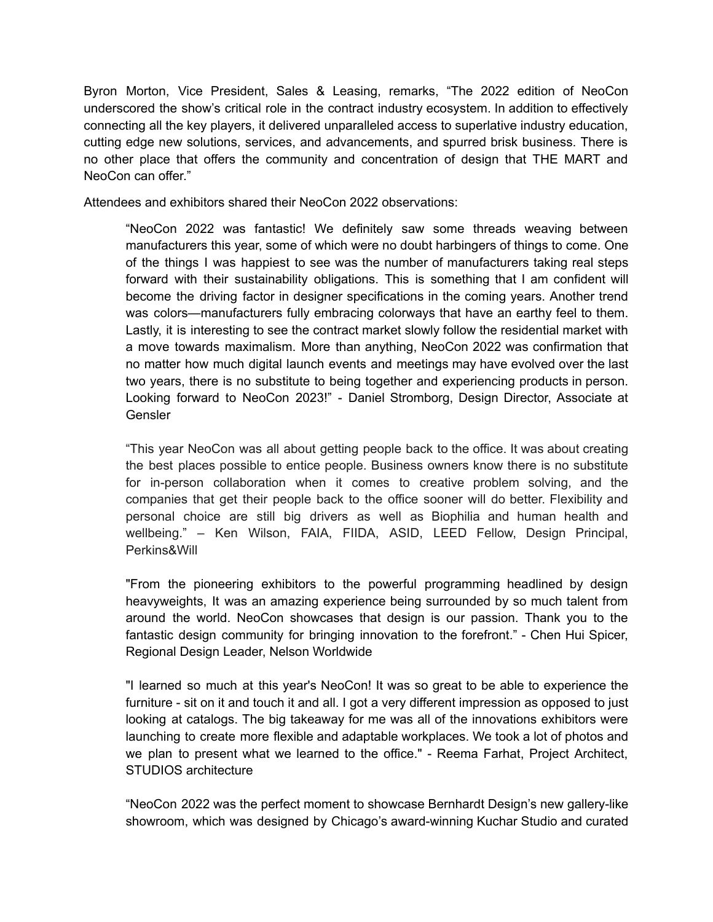Byron Morton, Vice President, Sales & Leasing, remarks, "The 2022 edition of NeoCon underscored the show's critical role in the contract industry ecosystem. In addition to effectively connecting all the key players, it delivered unparalleled access to superlative industry education, cutting edge new solutions, services, and advancements, and spurred brisk business. There is no other place that offers the community and concentration of design that THE MART and NeoCon can offer."

Attendees and exhibitors shared their NeoCon 2022 observations:

"NeoCon 2022 was fantastic! We definitely saw some threads weaving between manufacturers this year, some of which were no doubt harbingers of things to come. One of the things I was happiest to see was the number of manufacturers taking real steps forward with their sustainability obligations. This is something that I am confident will become the driving factor in designer specifications in the coming years. Another trend was colors—manufacturers fully embracing colorways that have an earthy feel to them. Lastly, it is interesting to see the contract market slowly follow the residential market with a move towards maximalism. More than anything, NeoCon 2022 was confirmation that no matter how much digital launch events and meetings may have evolved over the last two years, there is no substitute to being together and experiencing products in person. Looking forward to NeoCon 2023!" - Daniel Stromborg, Design Director, Associate at Gensler

"This year NeoCon was all about getting people back to the office. It was about creating the best places possible to entice people. Business owners know there is no substitute for in-person collaboration when it comes to creative problem solving, and the companies that get their people back to the office sooner will do better. Flexibility and personal choice are still big drivers as well as Biophilia and human health and wellbeing." – Ken Wilson, FAIA, FIIDA, ASID, LEED Fellow, Design Principal, Perkins&Will

"From the pioneering exhibitors to the powerful programming headlined by design heavyweights, It was an amazing experience being surrounded by so much talent from around the world. NeoCon showcases that design is our passion. Thank you to the fantastic design community for bringing innovation to the forefront." - Chen Hui Spicer, Regional Design Leader, Nelson Worldwide

"I learned so much at this year's NeoCon! It was so great to be able to experience the furniture - sit on it and touch it and all. I got a very different impression as opposed to just looking at catalogs. The big takeaway for me was all of the innovations exhibitors were launching to create more flexible and adaptable workplaces. We took a lot of photos and we plan to present what we learned to the office." - Reema Farhat, Project Architect, STUDIOS architecture

"NeoCon 2022 was the perfect moment to showcase Bernhardt Design's new gallery-like showroom, which was designed by Chicago's award-winning Kuchar Studio and curated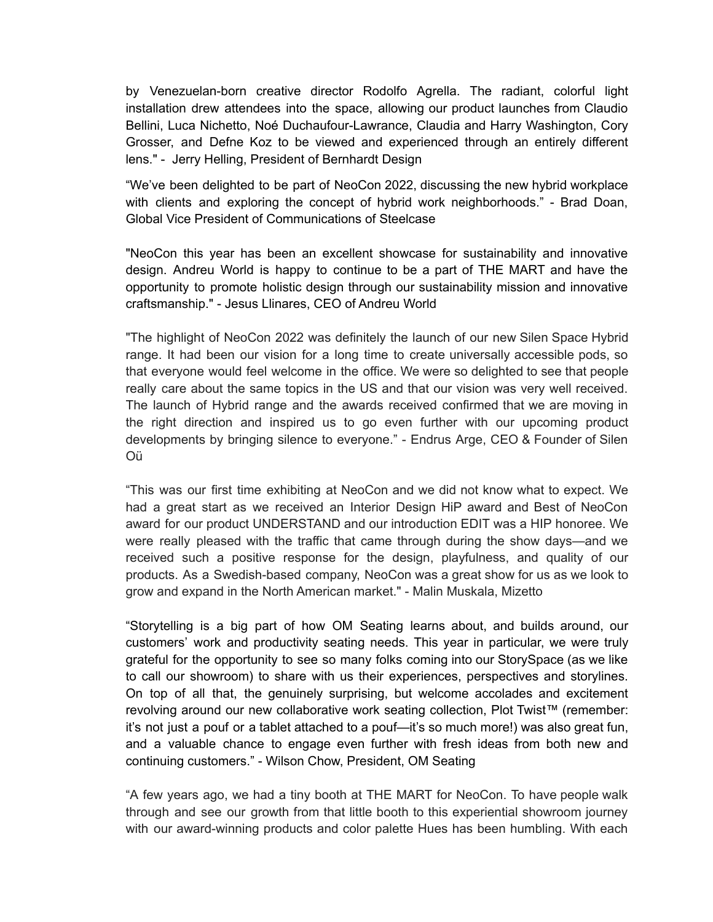by Venezuelan-born creative director Rodolfo Agrella. The radiant, colorful light installation drew attendees into the space, allowing our product launches from Claudio Bellini, Luca Nichetto, Noé Duchaufour-Lawrance, Claudia and Harry Washington, Cory Grosser, and Defne Koz to be viewed and experienced through an entirely different lens." - Jerry Helling, President of Bernhardt Design

"We've been delighted to be part of NeoCon 2022, discussing the new hybrid workplace with clients and exploring the concept of hybrid work neighborhoods." - Brad Doan, Global Vice President of Communications of Steelcase

"NeoCon this year has been an excellent showcase for sustainability and innovative design. Andreu World is happy to continue to be a part of THE MART and have the opportunity to promote holistic design through our sustainability mission and innovative craftsmanship." - Jesus Llinares, CEO of Andreu World

"The highlight of NeoCon 2022 was definitely the launch of our new Silen Space Hybrid range. It had been our vision for a long time to create universally accessible pods, so that everyone would feel welcome in the office. We were so delighted to see that people really care about the same topics in the US and that our vision was very well received. The launch of Hybrid range and the awards received confirmed that we are moving in the right direction and inspired us to go even further with our upcoming product developments by bringing silence to everyone." - Endrus Arge, CEO & Founder of Silen Oü

"This was our first time exhibiting at NeoCon and we did not know what to expect. We had a great start as we received an Interior Design HiP award and Best of NeoCon award for our product UNDERSTAND and our introduction EDIT was a HIP honoree. We were really pleased with the traffic that came through during the show days—and we received such a positive response for the design, playfulness, and quality of our products. As a Swedish-based company, NeoCon was a great show for us as we look to grow and expand in the North American market." - Malin Muskala, Mizetto

"Storytelling is a big part of how OM Seating learns about, and builds around, our customers' work and productivity seating needs. This year in particular, we were truly grateful for the opportunity to see so many folks coming into our StorySpace (as we like to call our showroom) to share with us their experiences, perspectives and storylines. On top of all that, the genuinely surprising, but welcome accolades and excitement revolving around our new collaborative work seating collection, Plot Twist™ (remember: it's not just a pouf or a tablet attached to a pouf—it's so much more!) was also great fun, and a valuable chance to engage even further with fresh ideas from both new and continuing customers." - Wilson Chow, President, OM Seating

"A few years ago, we had a tiny booth at THE MART for NeoCon. To have people walk through and see our growth from that little booth to this experiential showroom journey with our award-winning products and color palette Hues has been humbling. With each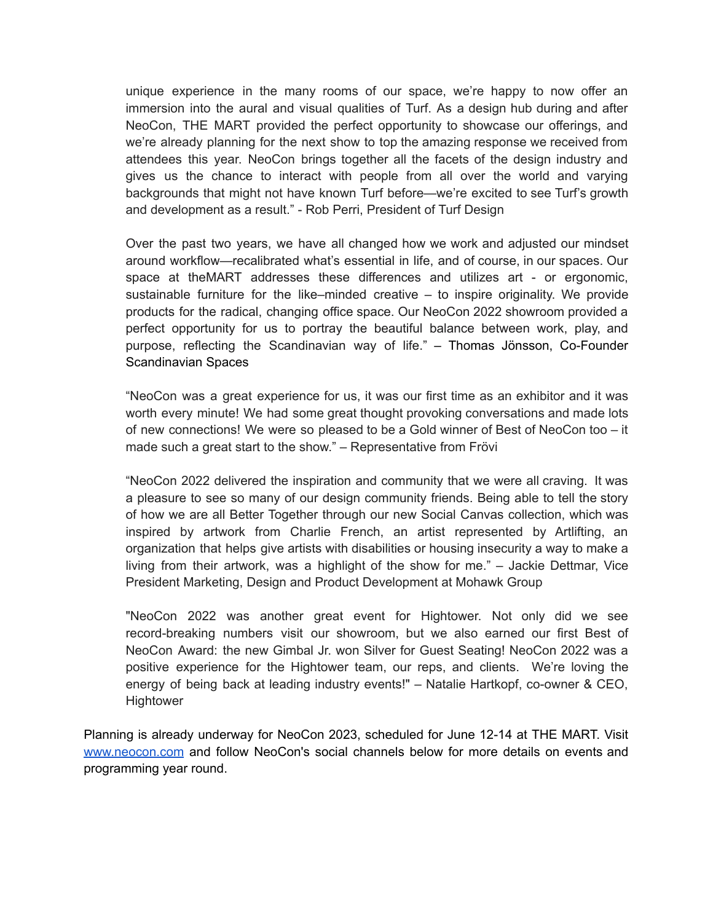unique experience in the many rooms of our space, we're happy to now offer an immersion into the aural and visual qualities of Turf. As a design hub during and after NeoCon, THE MART provided the perfect opportunity to showcase our offerings, and we're already planning for the next show to top the amazing response we received from attendees this year. NeoCon brings together all the facets of the design industry and gives us the chance to interact with people from all over the world and varying backgrounds that might not have known Turf before—we're excited to see Turf's growth and development as a result." - Rob Perri, President of Turf Design

Over the past two years, we have all changed how we work and adjusted our mindset around workflow—recalibrated what's essential in life, and of course, in our spaces. Our space at theMART addresses these differences and utilizes art - or ergonomic, sustainable furniture for the like–minded creative – to inspire originality. We provide products for the radical, changing office space. Our NeoCon 2022 showroom provided a perfect opportunity for us to portray the beautiful balance between work, play, and purpose, reflecting the Scandinavian way of life." – Thomas Jönsson, Co-Founder Scandinavian Spaces

"NeoCon was a great experience for us, it was our first time as an exhibitor and it was worth every minute! We had some great thought provoking conversations and made lots of new connections! We were so pleased to be a Gold winner of Best of NeoCon too – it made such a great start to the show." – Representative from Frövi

"NeoCon 2022 delivered the inspiration and community that we were all craving. It was a pleasure to see so many of our design community friends. Being able to tell the story of how we are all Better Together through our new Social Canvas collection, which was inspired by artwork from Charlie French, an artist represented by Artlifting, an organization that helps give artists with disabilities or housing insecurity a way to make a living from their artwork, was a highlight of the show for me." – Jackie Dettmar, Vice President Marketing, Design and Product Development at Mohawk Group

"NeoCon 2022 was another great event for Hightower. Not only did we see record-breaking numbers visit our showroom, but we also earned our first Best of NeoCon Award: the new Gimbal Jr. won Silver for Guest Seating! NeoCon 2022 was a positive experience for the Hightower team, our reps, and clients. We're loving the energy of being back at leading industry events!" – Natalie Hartkopf, co-owner & CEO, **Hightower** 

Planning is already underway for NeoCon 2023, scheduled for June 12-14 at THE MART. Visit [www.neocon.com](http://www.neocon.com) and follow NeoCon's social channels below for more details on events and programming year round.